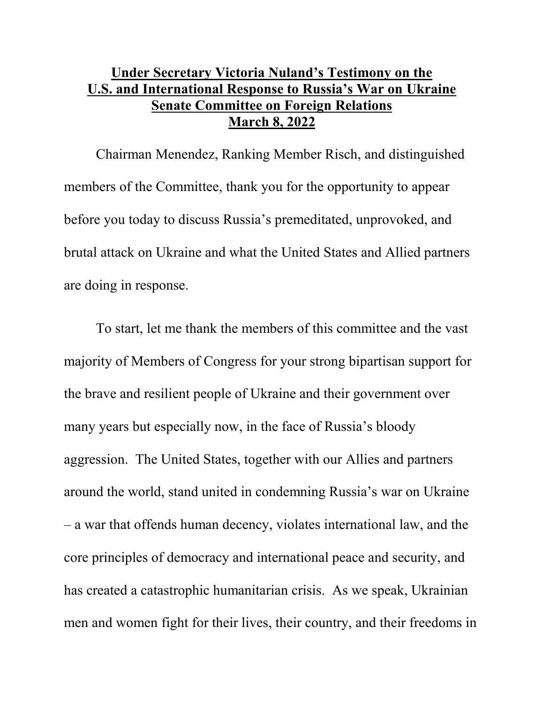## **Under Secretary Victoria Nuland's Testimony on the U.S. and International Response to Russia's War on Ukraine Senate Committee on Foreign Relations March 8, 2022**

Chairman Menendez, Ranking Member Risch, and distinguished members of the Committee, thank you for the opportunity to appear before you today to discuss Russia's premeditated, unprovoked, and brutal attack on Ukraine and what the United States and Allied partners are doing in response.

To start, let me thank the members of this committee and the vast majority of Members of Congress for your strong bipartisan support for the brave and resilient people of Ukraine and their government over many years but especially now, in the face of Russia's bloody aggression. The United States, together with our Allies and partners around the world, stand united in condemning Russia's war on Ukraine – a war that offends human decency, violates international law, and the core principles of democracy and international peace and security, and has created a catastrophic humanitarian crisis. As we speak, Ukrainian men and women fight for their lives, their country, and their freedoms in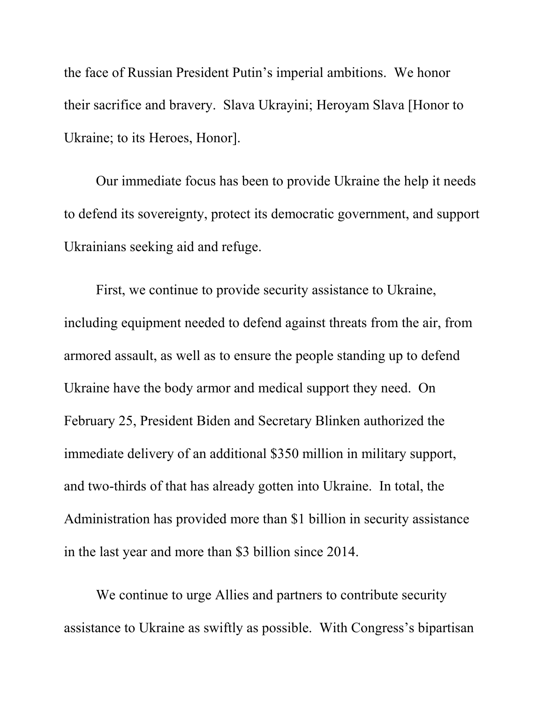the face of Russian President Putin's imperial ambitions. We honor their sacrifice and bravery. Slava Ukrayini; Heroyam Slava [Honor to Ukraine; to its Heroes, Honor].

Our immediate focus has been to provide Ukraine the help it needs to defend its sovereignty, protect its democratic government, and support Ukrainians seeking aid and refuge.

First, we continue to provide security assistance to Ukraine, including equipment needed to defend against threats from the air, from armored assault, as well as to ensure the people standing up to defend Ukraine have the body armor and medical support they need. On February 25, President Biden and Secretary Blinken authorized the immediate delivery of an additional \$350 million in military support, and two-thirds of that has already gotten into Ukraine. In total, the Administration has provided more than \$1 billion in security assistance in the last year and more than \$3 billion since 2014.

We continue to urge Allies and partners to contribute security assistance to Ukraine as swiftly as possible. With Congress's bipartisan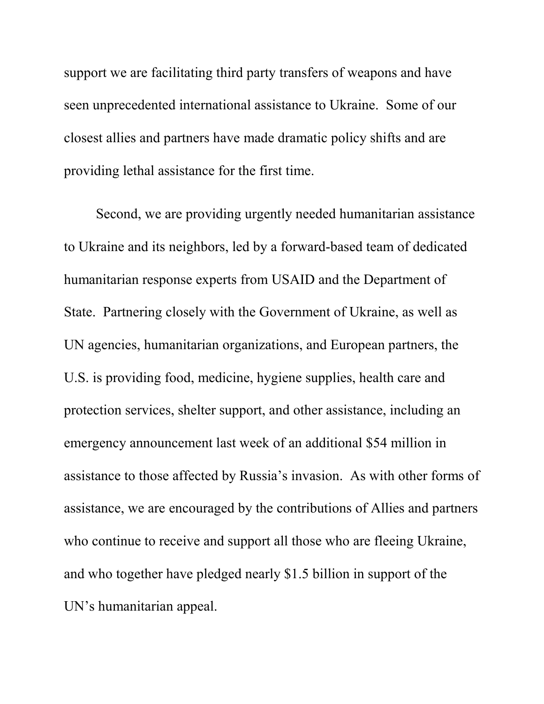support we are facilitating third party transfers of weapons and have seen unprecedented international assistance to Ukraine. Some of our closest allies and partners have made dramatic policy shifts and are providing lethal assistance for the first time.

Second, we are providing urgently needed humanitarian assistance to Ukraine and its neighbors, led by a forward-based team of dedicated humanitarian response experts from USAID and the Department of State. Partnering closely with the Government of Ukraine, as well as UN agencies, humanitarian organizations, and European partners, the U.S. is providing food, medicine, hygiene supplies, health care and protection services, shelter support, and other assistance, including an emergency announcement last week of an additional \$54 million in assistance to those affected by Russia's invasion. As with other forms of assistance, we are encouraged by the contributions of Allies and partners who continue to receive and support all those who are fleeing Ukraine, and who together have pledged nearly \$1.5 billion in support of the UN's humanitarian appeal.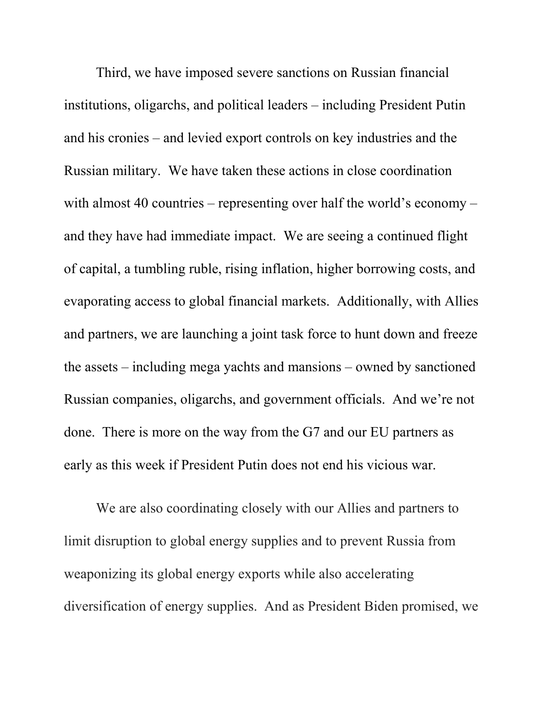Third, we have imposed severe sanctions on Russian financial institutions, oligarchs, and political leaders – including President Putin and his cronies – and levied export controls on key industries and the Russian military. We have taken these actions in close coordination with almost 40 countries – representing over half the world's economy – and they have had immediate impact. We are seeing a continued flight of capital, a tumbling ruble, rising inflation, higher borrowing costs, and evaporating access to global financial markets. Additionally, with Allies and partners, we are launching a joint task force to hunt down and freeze the assets – including mega yachts and mansions – owned by sanctioned Russian companies, oligarchs, and government officials. And we're not done. There is more on the way from the G7 and our EU partners as early as this week if President Putin does not end his vicious war.

We are also coordinating closely with our Allies and partners to limit disruption to global energy supplies and to prevent Russia from weaponizing its global energy exports while also accelerating diversification of energy supplies. And as President Biden promised, we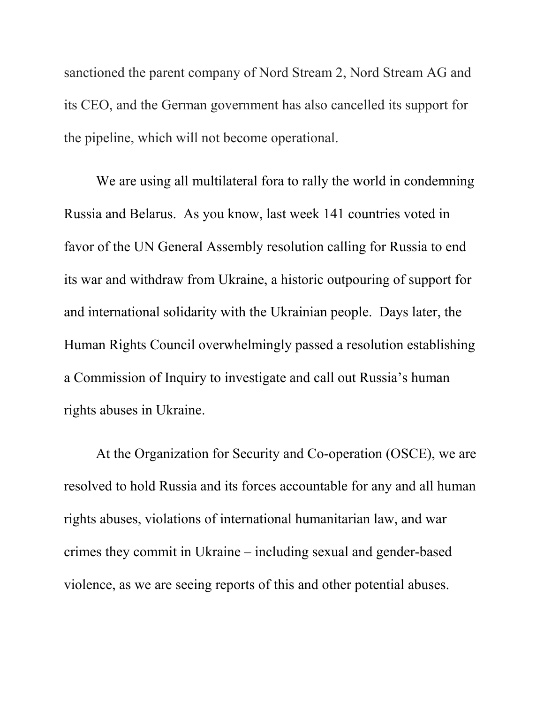sanctioned the parent company of Nord Stream 2, Nord Stream AG and its CEO, and the German government has also cancelled its support for the pipeline, which will not become operational.

We are using all multilateral fora to rally the world in condemning Russia and Belarus. As you know, last week 141 countries voted in favor of the UN General Assembly resolution calling for Russia to end its war and withdraw from Ukraine, a historic outpouring of support for and international solidarity with the Ukrainian people. Days later, the Human Rights Council overwhelmingly passed a resolution establishing a Commission of Inquiry to investigate and call out Russia's human rights abuses in Ukraine.

At the Organization for Security and Co-operation (OSCE), we are resolved to hold Russia and its forces accountable for any and all human rights abuses, violations of international humanitarian law, and war crimes they commit in Ukraine – including sexual and gender-based violence, as we are seeing reports of this and other potential abuses.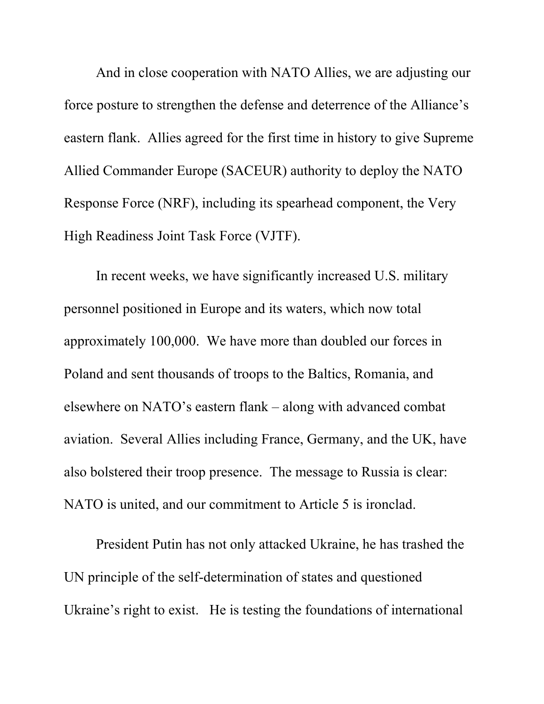And in close cooperation with NATO Allies, we are adjusting our force posture to strengthen the defense and deterrence of the Alliance's eastern flank. Allies agreed for the first time in history to give Supreme Allied Commander Europe (SACEUR) authority to deploy the NATO Response Force (NRF), including its spearhead component, the Very High Readiness Joint Task Force (VJTF).

In recent weeks, we have significantly increased U.S. military personnel positioned in Europe and its waters, which now total approximately 100,000. We have more than doubled our forces in Poland and sent thousands of troops to the Baltics, Romania, and elsewhere on NATO's eastern flank – along with advanced combat aviation. Several Allies including France, Germany, and the UK, have also bolstered their troop presence. The message to Russia is clear: NATO is united, and our commitment to Article 5 is ironclad.

President Putin has not only attacked Ukraine, he has trashed the UN principle of the self-determination of states and questioned Ukraine's right to exist. He is testing the foundations of international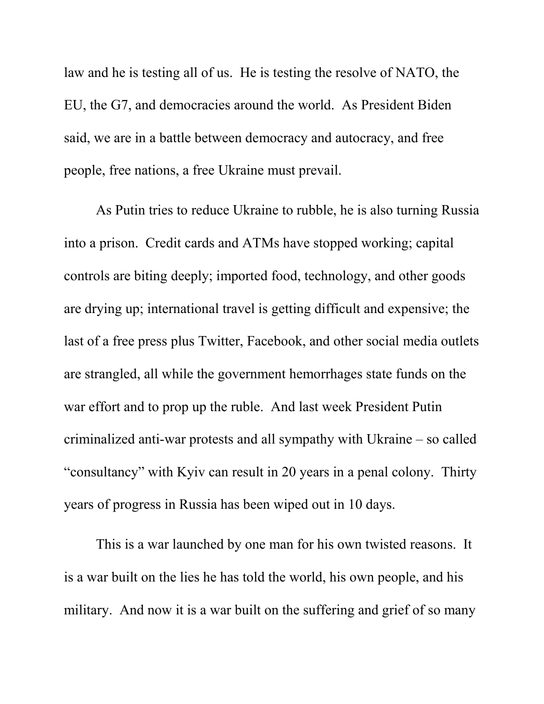law and he is testing all of us. He is testing the resolve of NATO, the EU, the G7, and democracies around the world. As President Biden said, we are in a battle between democracy and autocracy, and free people, free nations, a free Ukraine must prevail.

As Putin tries to reduce Ukraine to rubble, he is also turning Russia into a prison. Credit cards and ATMs have stopped working; capital controls are biting deeply; imported food, technology, and other goods are drying up; international travel is getting difficult and expensive; the last of a free press plus Twitter, Facebook, and other social media outlets are strangled, all while the government hemorrhages state funds on the war effort and to prop up the ruble. And last week President Putin criminalized anti-war protests and all sympathy with Ukraine – so called "consultancy" with Kyiv can result in 20 years in a penal colony. Thirty years of progress in Russia has been wiped out in 10 days.

This is a war launched by one man for his own twisted reasons. It is a war built on the lies he has told the world, his own people, and his military. And now it is a war built on the suffering and grief of so many